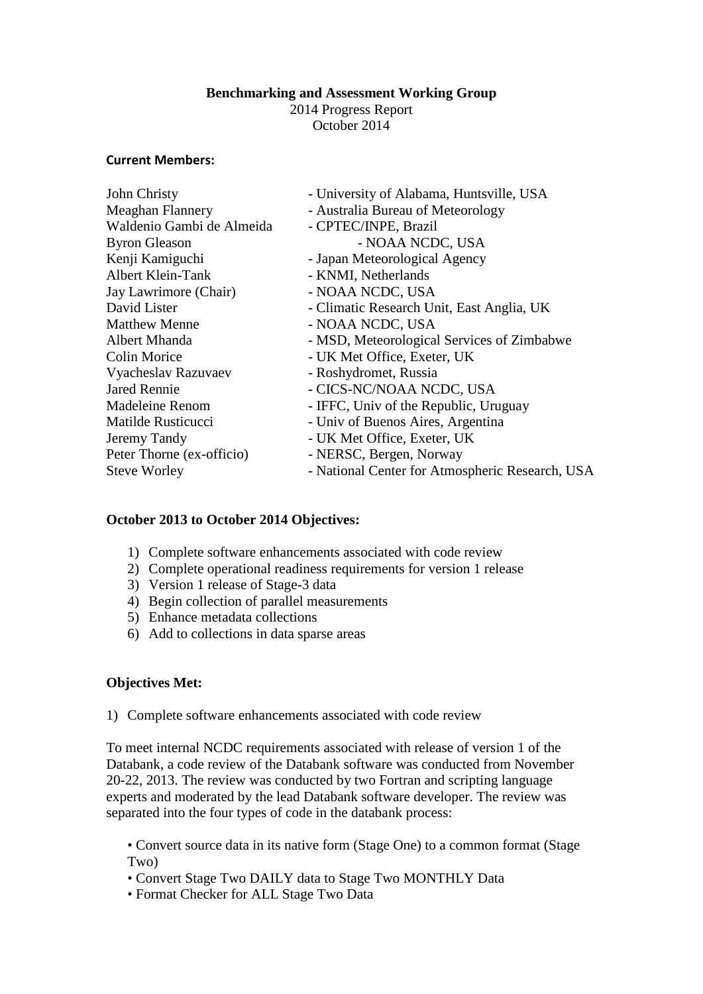#### **Benchmarking and Assessment Working Group**

2014 Progress Report October 2014

#### **Current Members:**

| - National Center for Atmospheric Research, USA |
|-------------------------------------------------|
|                                                 |

## **October 2013 to October 2014 Objectives:**

- 1) Complete software enhancements associated with code review
- 2) Complete operational readiness requirements for version 1 release
- 3) Version 1 release of Stage-3 data
- 4) Begin collection of parallel measurements
- 5) Enhance metadata collections
- 6) Add to collections in data sparse areas

## **Objectives Met:**

1) Complete software enhancements associated with code review

To meet internal NCDC requirements associated with release of version 1 of the Databank, a code review of the Databank software was conducted from November 20-22, 2013. The review was conducted by two Fortran and scripting language experts and moderated by the lead Databank software developer. The review was separated into the four types of code in the databank process:

• Convert source data in its native form (Stage One) to a common format (Stage Two)

- Convert Stage Two DAILY data to Stage Two MONTHLY Data
- Format Checker for ALL Stage Two Data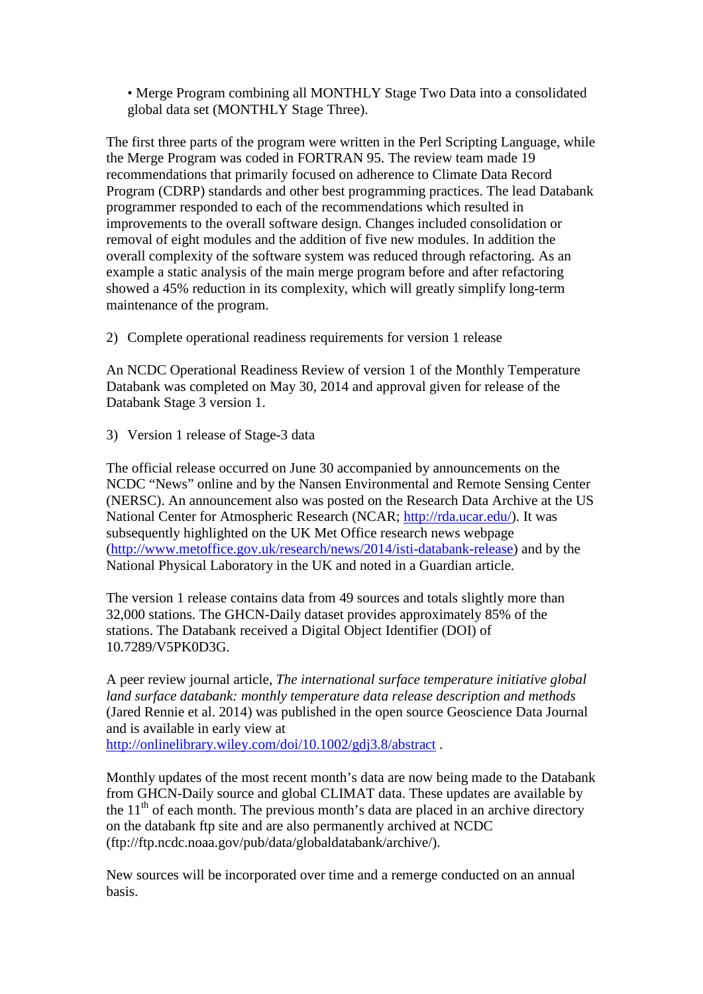• Merge Program combining all MONTHLY Stage Two Data into a consolidated global data set (MONTHLY Stage Three).

The first three parts of the program were written in the Perl Scripting Language, while the Merge Program was coded in FORTRAN 95. The review team made 19 recommendations that primarily focused on adherence to Climate Data Record Program (CDRP) standards and other best programming practices. The lead Databank programmer responded to each of the recommendations which resulted in improvements to the overall software design. Changes included consolidation or removal of eight modules and the addition of five new modules. In addition the overall complexity of the software system was reduced through refactoring. As an example a static analysis of the main merge program before and after refactoring showed a 45% reduction in its complexity, which will greatly simplify long-term maintenance of the program.

2) Complete operational readiness requirements for version 1 release

An NCDC Operational Readiness Review of version 1 of the Monthly Temperature Databank was completed on May 30, 2014 and approval given for release of the Databank Stage 3 version 1.

3) Version 1 release of Stage-3 data

The official release occurred on June 30 accompanied by announcements on the NCDC "News" online and by the Nansen Environmental and Remote Sensing Center (NERSC). An announcement also was posted on the Research Data Archive at the US National Center for Atmospheric Research (NCAR; [http://rda.ucar.edu/\)](http://rda.ucar.edu/). It was subsequently highlighted on the UK Met Office research news webpage [\(http://www.metoffice.gov.uk/research/news/2014/isti-databank-release\)](http://www.metoffice.gov.uk/research/news/2014/isti-databank-release) and by the National Physical Laboratory in the UK and noted in a Guardian article.

The version 1 release contains data from 49 sources and totals slightly more than 32,000 stations. The GHCN-Daily dataset provides approximately 85% of the stations. The Databank received a Digital Object Identifier (DOI) of 10.7289/V5PK0D3G.

A peer review journal article, *The international surface temperature initiative global land surface databank: monthly temperature data release description and methods* (Jared Rennie et al. 2014) was published in the open source Geoscience Data Journal and is available in early view at

<http://onlinelibrary.wiley.com/doi/10.1002/gdj3.8/abstract> .

Monthly updates of the most recent month's data are now being made to the Databank from GHCN-Daily source and global CLIMAT data. These updates are available by the  $11<sup>th</sup>$  of each month. The previous month's data are placed in an archive directory on the databank ftp site and are also permanently archived at NCDC (ftp://ftp.ncdc.noaa.gov/pub/data/globaldatabank/archive/).

New sources will be incorporated over time and a remerge conducted on an annual basis.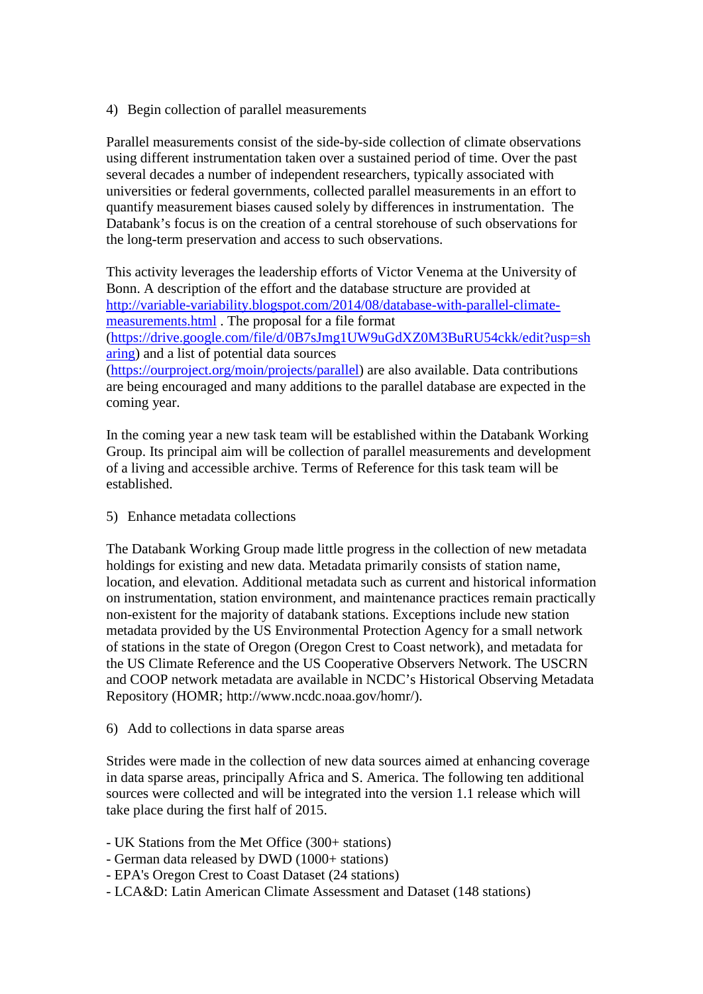# 4) Begin collection of parallel measurements

Parallel measurements consist of the side-by-side collection of climate observations using different instrumentation taken over a sustained period of time. Over the past several decades a number of independent researchers, typically associated with universities or federal governments, collected parallel measurements in an effort to quantify measurement biases caused solely by differences in instrumentation. The Databank's focus is on the creation of a central storehouse of such observations for the long-term preservation and access to such observations.

This activity leverages the leadership efforts of Victor Venema at the University of Bonn. A description of the effort and the database structure are provided at [http://variable-variability.blogspot.com/2014/08/database-with-parallel-climate](http://variable-variability.blogspot.com/2014/08/database-with-parallel-climate-measurements.html)[measurements.html](http://variable-variability.blogspot.com/2014/08/database-with-parallel-climate-measurements.html) . The proposal for a file format [\(https://drive.google.com/file/d/0B7sJmg1UW9uGdXZ0M3BuRU54ckk/edit?usp=sh](https://drive.google.com/file/d/0B7sJmg1UW9uGdXZ0M3BuRU54ckk/edit?usp=sharing) [aring\)](https://drive.google.com/file/d/0B7sJmg1UW9uGdXZ0M3BuRU54ckk/edit?usp=sharing) and a list of potential data sources [\(https://ourproject.org/moin/projects/parallel\)](https://ourproject.org/moin/projects/parallel) are also available. Data contributions are being encouraged and many additions to the parallel database are expected in the coming year.

In the coming year a new task team will be established within the Databank Working Group. Its principal aim will be collection of parallel measurements and development of a living and accessible archive. Terms of Reference for this task team will be established.

5) Enhance metadata collections

The Databank Working Group made little progress in the collection of new metadata holdings for existing and new data. Metadata primarily consists of station name, location, and elevation. Additional metadata such as current and historical information on instrumentation, station environment, and maintenance practices remain practically non-existent for the majority of databank stations. Exceptions include new station metadata provided by the US Environmental Protection Agency for a small network of stations in the state of Oregon (Oregon Crest to Coast network), and metadata for the US Climate Reference and the US Cooperative Observers Network. The USCRN and COOP network metadata are available in NCDC's Historical Observing Metadata Repository (HOMR; http://www.ncdc.noaa.gov/homr/).

## 6) Add to collections in data sparse areas

Strides were made in the collection of new data sources aimed at enhancing coverage in data sparse areas, principally Africa and S. America. The following ten additional sources were collected and will be integrated into the version 1.1 release which will take place during the first half of 2015.

- UK Stations from the Met Office (300+ stations)
- German data released by DWD (1000+ stations)
- EPA's Oregon Crest to Coast Dataset (24 stations)
- LCA&D: Latin American Climate Assessment and Dataset (148 stations)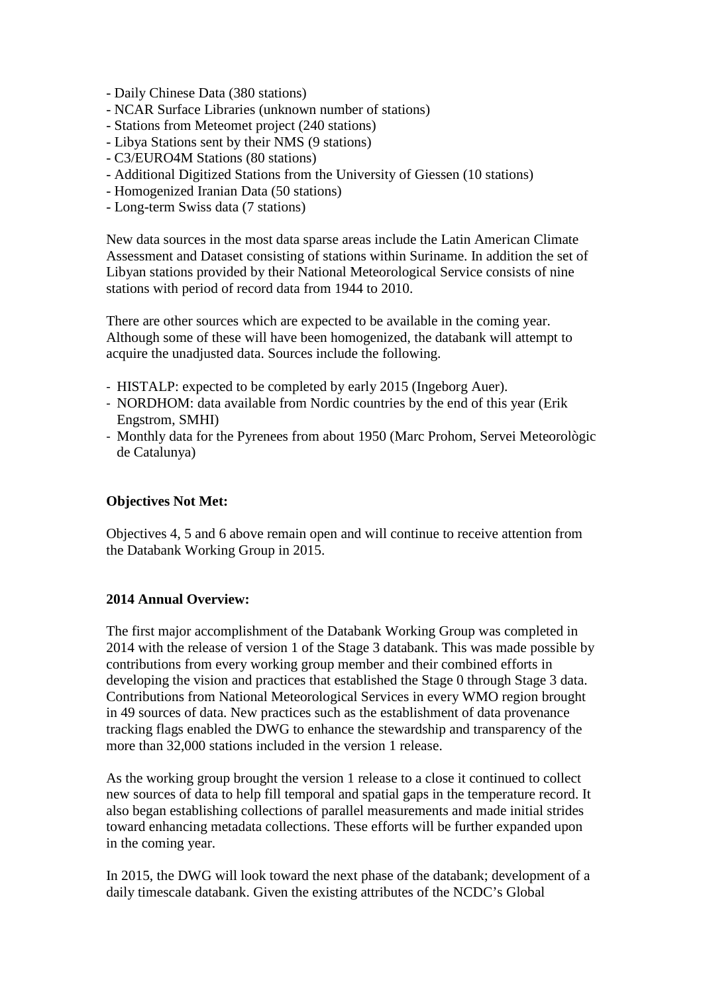- Daily Chinese Data (380 stations)
- NCAR Surface Libraries (unknown number of stations)
- Stations from Meteomet project (240 stations)
- Libya Stations sent by their NMS (9 stations)
- C3/EURO4M Stations (80 stations)
- Additional Digitized Stations from the University of Giessen (10 stations)
- Homogenized Iranian Data (50 stations)
- Long-term Swiss data (7 stations)

New data sources in the most data sparse areas include the Latin American Climate Assessment and Dataset consisting of stations within Suriname. In addition the set of Libyan stations provided by their National Meteorological Service consists of nine stations with period of record data from 1944 to 2010.

There are other sources which are expected to be available in the coming year. Although some of these will have been homogenized, the databank will attempt to acquire the unadjusted data. Sources include the following.

- HISTALP: expected to be completed by early 2015 (Ingeborg Auer).
- NORDHOM: data available from Nordic countries by the end of this year (Erik Engstrom, SMHI)
- Monthly data for the Pyrenees from about 1950 (Marc Prohom, Servei Meteorològic de Catalunya)

# **Objectives Not Met:**

Objectives 4, 5 and 6 above remain open and will continue to receive attention from the Databank Working Group in 2015.

# **2014 Annual Overview:**

The first major accomplishment of the Databank Working Group was completed in 2014 with the release of version 1 of the Stage 3 databank. This was made possible by contributions from every working group member and their combined efforts in developing the vision and practices that established the Stage 0 through Stage 3 data. Contributions from National Meteorological Services in every WMO region brought in 49 sources of data. New practices such as the establishment of data provenance tracking flags enabled the DWG to enhance the stewardship and transparency of the more than 32,000 stations included in the version 1 release.

As the working group brought the version 1 release to a close it continued to collect new sources of data to help fill temporal and spatial gaps in the temperature record. It also began establishing collections of parallel measurements and made initial strides toward enhancing metadata collections. These efforts will be further expanded upon in the coming year.

In 2015, the DWG will look toward the next phase of the databank; development of a daily timescale databank. Given the existing attributes of the NCDC's Global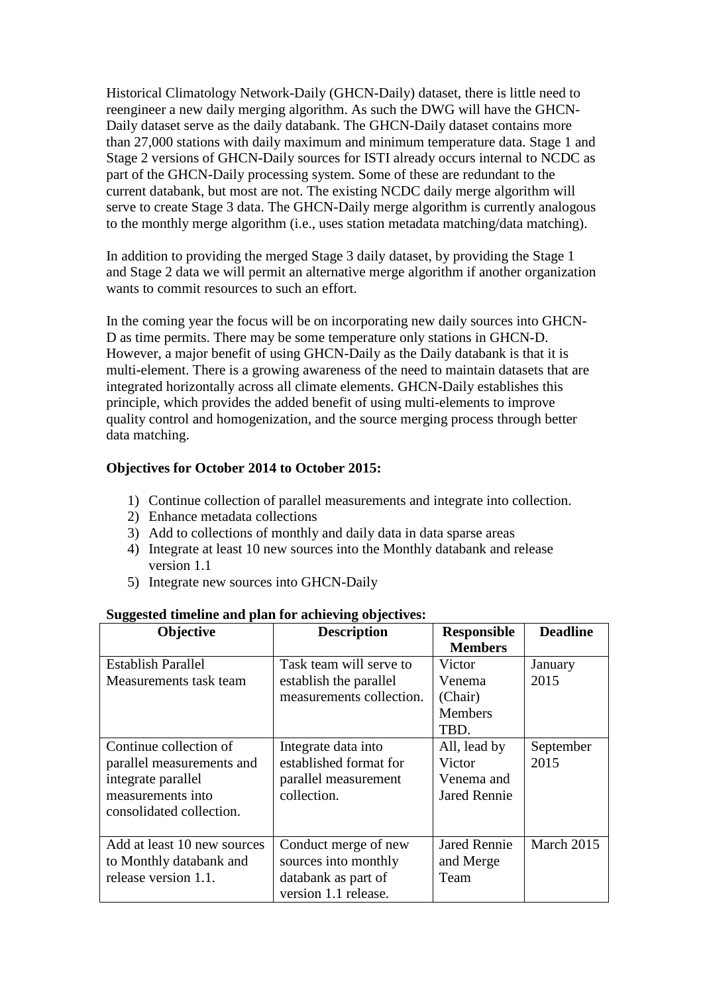Historical Climatology Network-Daily (GHCN-Daily) dataset, there is little need to reengineer a new daily merging algorithm. As such the DWG will have the GHCN-Daily dataset serve as the daily databank. The GHCN-Daily dataset contains more than 27,000 stations with daily maximum and minimum temperature data. Stage 1 and Stage 2 versions of GHCN-Daily sources for ISTI already occurs internal to NCDC as part of the GHCN-Daily processing system. Some of these are redundant to the current databank, but most are not. The existing NCDC daily merge algorithm will serve to create Stage 3 data. The GHCN-Daily merge algorithm is currently analogous to the monthly merge algorithm (i.e., uses station metadata matching/data matching).

In addition to providing the merged Stage 3 daily dataset, by providing the Stage 1 and Stage 2 data we will permit an alternative merge algorithm if another organization wants to commit resources to such an effort.

In the coming year the focus will be on incorporating new daily sources into GHCN-D as time permits. There may be some temperature only stations in GHCN-D. However, a major benefit of using GHCN-Daily as the Daily databank is that it is multi-element. There is a growing awareness of the need to maintain datasets that are integrated horizontally across all climate elements. GHCN-Daily establishes this principle, which provides the added benefit of using multi-elements to improve quality control and homogenization, and the source merging process through better data matching.

# **Objectives for October 2014 to October 2015:**

- 1) Continue collection of parallel measurements and integrate into collection.
- 2) Enhance metadata collections
- 3) Add to collections of monthly and daily data in data sparse areas
- 4) Integrate at least 10 new sources into the Monthly databank and release version 1.1
- 5) Integrate new sources into GHCN-Daily

| Objective                                                                                                                  | <b>Description</b>                                                                          | <b>Responsible</b><br><b>Members</b>                        | <b>Deadline</b>   |
|----------------------------------------------------------------------------------------------------------------------------|---------------------------------------------------------------------------------------------|-------------------------------------------------------------|-------------------|
| <b>Establish Parallel</b><br>Measurements task team                                                                        | Task team will serve to<br>establish the parallel<br>measurements collection.               | Victor<br>Venema<br>(Chair)<br><b>Members</b><br>TBD.       | January<br>2015   |
| Continue collection of<br>parallel measurements and<br>integrate parallel<br>measurements into<br>consolidated collection. | Integrate data into<br>established format for<br>parallel measurement<br>collection.        | All, lead by<br>Victor<br>Venema and<br><b>Jared Rennie</b> | September<br>2015 |
| Add at least 10 new sources<br>to Monthly databank and<br>release version 1.1.                                             | Conduct merge of new<br>sources into monthly<br>databank as part of<br>version 1.1 release. | <b>Jared Rennie</b><br>and Merge<br>Team                    | March 2015        |

## **Suggested timeline and plan for achieving objectives:**